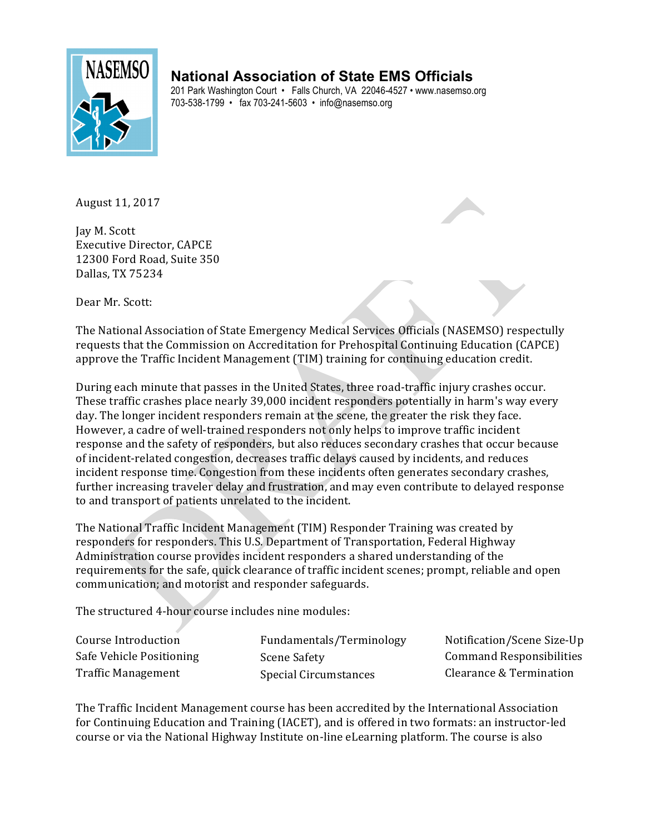

## **National Association of State EMS Officials**

201 Park Washington Court • Falls Church, VA 22046-4527 • www.nasemso.org 703-538-1799 • fax 703-241-5603 • info@nasemso.org

August 11, 2017

Jay M. Scott Executive Director, CAPCE 12300 Ford Road, Suite 350 Dallas, TX 75234

Dear Mr. Scott:

The National Association of State Emergency Medical Services Officials (NASEMSO) respectully requests that the Commission on Accreditation for Prehospital Continuing Education (CAPCE) approve the Traffic Incident Management (TIM) training for continuing education credit.

During each minute that passes in the United States, three road-traffic injury crashes occur. These traffic crashes place nearly 39,000 incident responders potentially in harm's way every day. The longer incident responders remain at the scene, the greater the risk they face. However, a cadre of well-trained responders not only helps to improve traffic incident response and the safety of responders, but also reduces secondary crashes that occur because of incident-related congestion, decreases traffic delays caused by incidents, and reduces incident response time. Congestion from these incidents often generates secondary crashes, further increasing traveler delay and frustration, and may even contribute to delayed response to and transport of patients unrelated to the incident.

The National Traffic Incident Management (TIM) Responder Training was created by responders for responders. This U.S. Department of Transportation, Federal Highway Administration course provides incident responders a shared understanding of the requirements for the safe, quick clearance of traffic incident scenes; prompt, reliable and open communication; and motorist and responder safeguards.

The structured 4-hour course includes nine modules:

| Course Introduction       | Fundamentals/Terminology | Notification/Scene Size-Up      |
|---------------------------|--------------------------|---------------------------------|
| Safe Vehicle Positioning  | Scene Safety             | <b>Command Responsibilities</b> |
| <b>Traffic Management</b> | Special Circumstances    | Clearance & Termination         |

The Traffic Incident Management course has been accredited by the International Association for Continuing Education and Training (IACET), and is offered in two formats: an instructor-led course or via the National Highway Institute on-line eLearning platform. The course is also